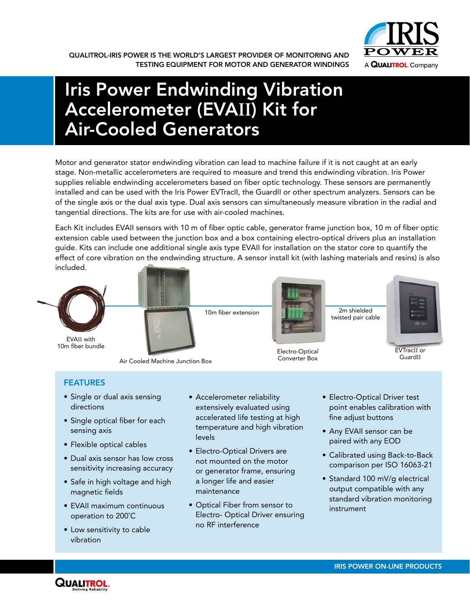

# Iris Power Endwinding Vibration Accelerometer (EVA**II**) Kit for Air-Cooled Generators

Motor and generator stator endwinding vibration can lead to machine failure if it is not caught at an early stage. Non-metallic accelerometers are required to measure and trend this endwinding vibration. Iris Power supplies reliable endwinding accelerometers based on fiber optic technology. These sensors are permanently installed and can be used with the Iris Power EVTracII, the GuardII or other spectrum analyzers. Sensors can be of the single axis or the dual axis type. Dual axis sensors can simultaneously measure vibration in the radial and tangential directions. The kits are for use with air-cooled machines.

Each Kit includes EVAII sensors with 10 m of fiber optic cable, generator frame junction box, 10 m of fiber optic extension cable used between the junction box and a box containing electro-optical drivers plus an installation guide. Kits can include one additional single axis type EVAII for installation on the stator core to quantify the effect of core vibration on the endwinding structure. A sensor install kit (with lashing materials and resins) is also included.



EVAII with 10m fiber bundle



Air Cooled Machine Junction Box



2m shielded twisted pair cable

Electro-Optical

• Electro-Optical Driver test point enables calibration with

• Any EVAII sensor can be paired with any EOD

fine adjust buttons

- Calibrated using Back-to-Back comparison per ISO 16063-21
- Standard 100 mV/g electrical output compatible with any standard vibration monitoring instrument

### FEATURES

- Single or dual axis sensing directions
- Single optical fiber for each sensing axis
- Flexible optical cables
- Dual axis sensor has low cross sensitivity increasing accuracy
- Safe in high voltage and high magnetic fields
- EVAII maximum continuous operation to 200˚C
- Low sensitivity to cable vibration



- Accelerometer reliability extensively evaluated using accelerated life testing at high temperature and high vibration
- Electro-Optical Drivers are not mounted on the motor or generator frame, ensuring a longer life and easier maintenance

levels

• Optical Fiber from sensor to Electro- Optical Driver ensuring no RF interference



GuardII